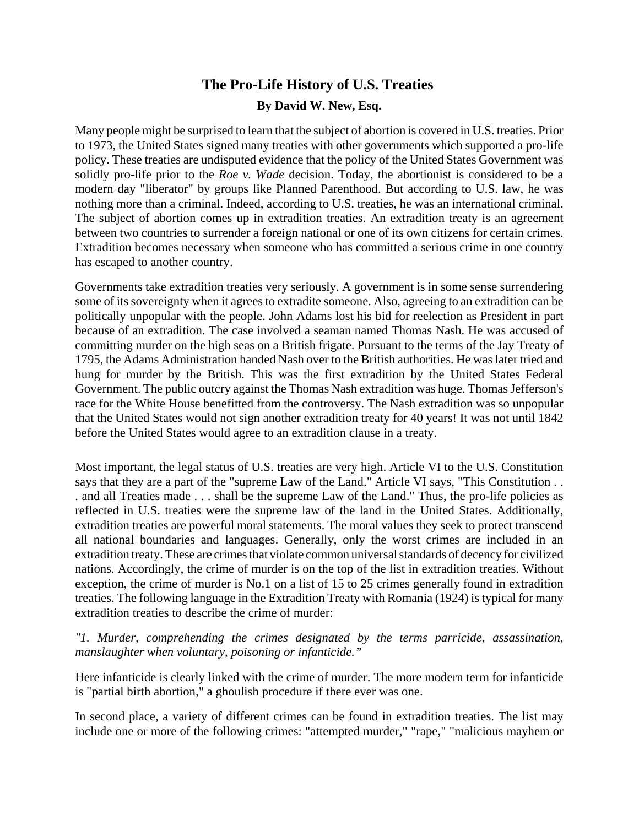# **The Pro-Life History of U.S. Treaties By David W. New, Esq.**

Many people might be surprised to learn that the subject of abortion is covered in U.S. treaties. Prior to 1973, the United States signed many treaties with other governments which supported a pro-life policy. These treaties are undisputed evidence that the policy of the United States Government was solidly pro-life prior to the *Roe v. Wade* decision. Today, the abortionist is considered to be a modern day "liberator" by groups like Planned Parenthood. But according to U.S. law, he was nothing more than a criminal. Indeed, according to U.S. treaties, he was an international criminal. The subject of abortion comes up in extradition treaties. An extradition treaty is an agreement between two countries to surrender a foreign national or one of its own citizens for certain crimes. Extradition becomes necessary when someone who has committed a serious crime in one country has escaped to another country.

Governments take extradition treaties very seriously. A government is in some sense surrendering some of its sovereignty when it agrees to extradite someone. Also, agreeing to an extradition can be politically unpopular with the people. John Adams lost his bid for reelection as President in part because of an extradition. The case involved a seaman named Thomas Nash. He was accused of committing murder on the high seas on a British frigate. Pursuant to the terms of the Jay Treaty of 1795, the Adams Administration handed Nash over to the British authorities. He was later tried and hung for murder by the British. This was the first extradition by the United States Federal Government. The public outcry against the Thomas Nash extradition was huge. Thomas Jefferson's race for the White House benefitted from the controversy. The Nash extradition was so unpopular that the United States would not sign another extradition treaty for 40 years! It was not until 1842 before the United States would agree to an extradition clause in a treaty.

Most important, the legal status of U.S. treaties are very high. Article VI to the U.S. Constitution says that they are a part of the "supreme Law of the Land." Article VI says, "This Constitution . . . and all Treaties made . . . shall be the supreme Law of the Land." Thus, the pro-life policies as reflected in U.S. treaties were the supreme law of the land in the United States. Additionally, extradition treaties are powerful moral statements. The moral values they seek to protect transcend all national boundaries and languages. Generally, only the worst crimes are included in an extradition treaty. These are crimes that violate common universal standards of decency for civilized nations. Accordingly, the crime of murder is on the top of the list in extradition treaties. Without exception, the crime of murder is No.1 on a list of 15 to 25 crimes generally found in extradition treaties. The following language in the Extradition Treaty with Romania (1924) is typical for many extradition treaties to describe the crime of murder:

*"1. Murder, comprehending the crimes designated by the terms parricide, assassination, manslaughter when voluntary, poisoning or infanticide."*

Here infanticide is clearly linked with the crime of murder. The more modern term for infanticide is "partial birth abortion," a ghoulish procedure if there ever was one.

In second place, a variety of different crimes can be found in extradition treaties. The list may include one or more of the following crimes: "attempted murder," "rape," "malicious mayhem or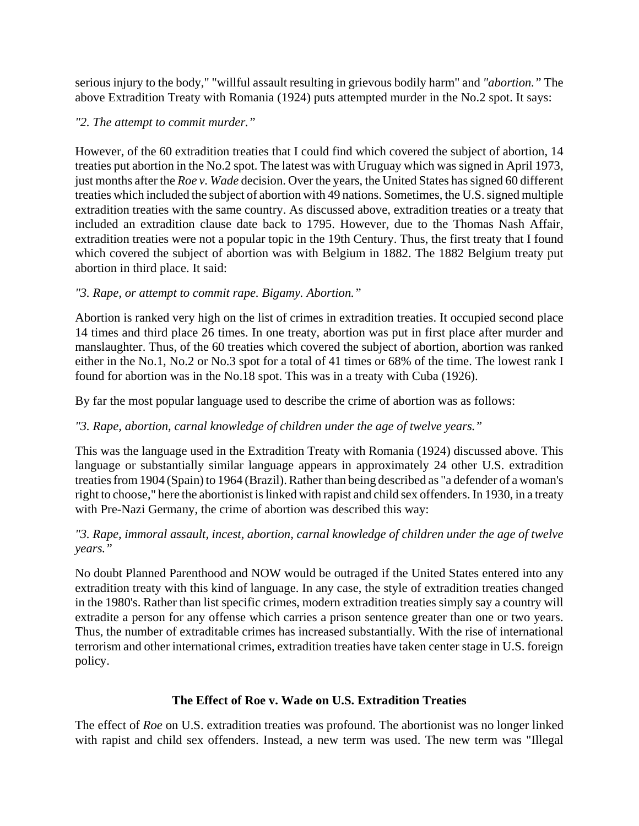serious injury to the body," "willful assault resulting in grievous bodily harm" and *"abortion."* The above Extradition Treaty with Romania (1924) puts attempted murder in the No.2 spot. It says:

#### *"2. The attempt to commit murder."*

However, of the 60 extradition treaties that I could find which covered the subject of abortion, 14 treaties put abortion in the No.2 spot. The latest was with Uruguay which was signed in April 1973, just months after the *Roe v. Wade* decision. Over the years, the United States has signed 60 different treaties which included the subject of abortion with 49 nations. Sometimes, the U.S. signed multiple extradition treaties with the same country. As discussed above, extradition treaties or a treaty that included an extradition clause date back to 1795. However, due to the Thomas Nash Affair, extradition treaties were not a popular topic in the 19th Century. Thus, the first treaty that I found which covered the subject of abortion was with Belgium in 1882. The 1882 Belgium treaty put abortion in third place. It said:

# *"3. Rape, or attempt to commit rape. Bigamy. Abortion."*

Abortion is ranked very high on the list of crimes in extradition treaties. It occupied second place 14 times and third place 26 times. In one treaty, abortion was put in first place after murder and manslaughter. Thus, of the 60 treaties which covered the subject of abortion, abortion was ranked either in the No.1, No.2 or No.3 spot for a total of 41 times or 68% of the time. The lowest rank I found for abortion was in the No.18 spot. This was in a treaty with Cuba (1926).

By far the most popular language used to describe the crime of abortion was as follows:

# *"3. Rape, abortion, carnal knowledge of children under the age of twelve years."*

This was the language used in the Extradition Treaty with Romania (1924) discussed above. This language or substantially similar language appears in approximately 24 other U.S. extradition treaties from 1904 (Spain) to 1964 (Brazil). Rather than being described as "a defender of a woman's right to choose," here the abortionist is linked with rapist and child sex offenders. In 1930, in a treaty with Pre-Nazi Germany, the crime of abortion was described this way:

#### *"3. Rape, immoral assault, incest, abortion, carnal knowledge of children under the age of twelve years."*

No doubt Planned Parenthood and NOW would be outraged if the United States entered into any extradition treaty with this kind of language. In any case, the style of extradition treaties changed in the 1980's. Rather than list specific crimes, modern extradition treaties simply say a country will extradite a person for any offense which carries a prison sentence greater than one or two years. Thus, the number of extraditable crimes has increased substantially. With the rise of international terrorism and other international crimes, extradition treaties have taken center stage in U.S. foreign policy.

# **The Effect of Roe v. Wade on U.S. Extradition Treaties**

The effect of *Roe* on U.S. extradition treaties was profound. The abortionist was no longer linked with rapist and child sex offenders. Instead, a new term was used. The new term was "Illegal